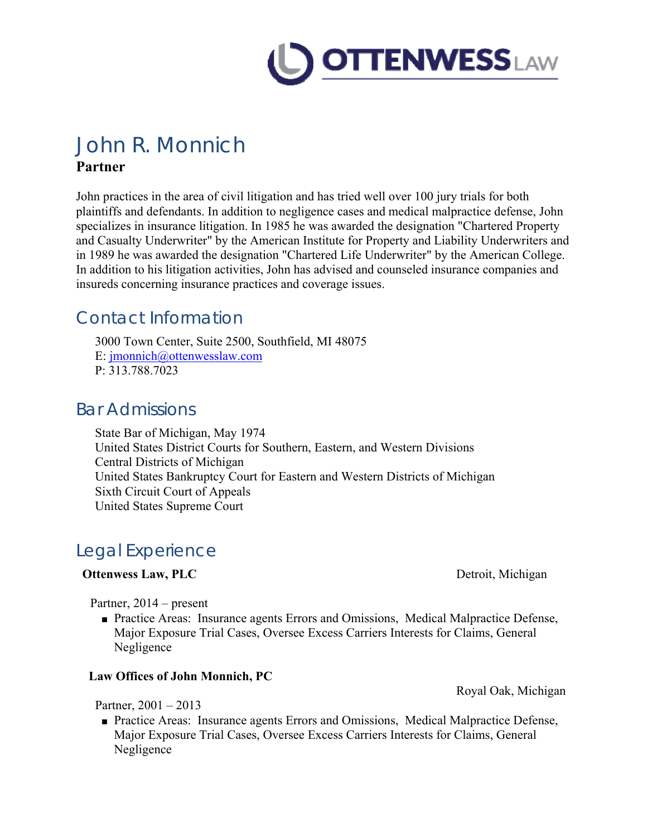

# John R. Monnich

#### **Partner**

John practices in the area of civil litigation and has tried well over 100 jury trials for both plaintiffs and defendants. In addition to negligence cases and medical malpractice defense, John specializes in insurance litigation. In 1985 he was awarded the designation "Chartered Property and Casualty Underwriter" by the American Institute for Property and Liability Underwriters and in 1989 he was awarded the designation "Chartered Life Underwriter" by the American College. In addition to his litigation activities, John has advised and counseled insurance companies and insureds concerning insurance practices and coverage issues.

## Contact Information

3000 Town Center, Suite 2500, Southfield, MI 48075 E: jmonnich@ottenwesslaw.com P: 313.788.7023

### Bar Admissions

State Bar of Michigan, May 1974 United States District Courts for Southern, Eastern, and Western Divisions Central Districts of Michigan United States Bankruptcy Court for Eastern and Western Districts of Michigan Sixth Circuit Court of Appeals United States Supreme Court

# Legal Experience

#### **Ottenwess Law, PLC** Detroit, Michigan

Partner, 2014 – present

■ Practice Areas: Insurance agents Errors and Omissions, Medical Malpractice Defense, Major Exposure Trial Cases, Oversee Excess Carriers Interests for Claims, General Negligence

#### **Law Offices of John Monnich, PC**

Royal Oak, Michigan

Partner, 2001 – 2013

■ Practice Areas: Insurance agents Errors and Omissions, Medical Malpractice Defense, Major Exposure Trial Cases, Oversee Excess Carriers Interests for Claims, General Negligence